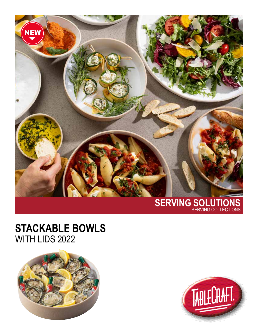

## **STACKABLE BOWLS** WITH LIDS 2022